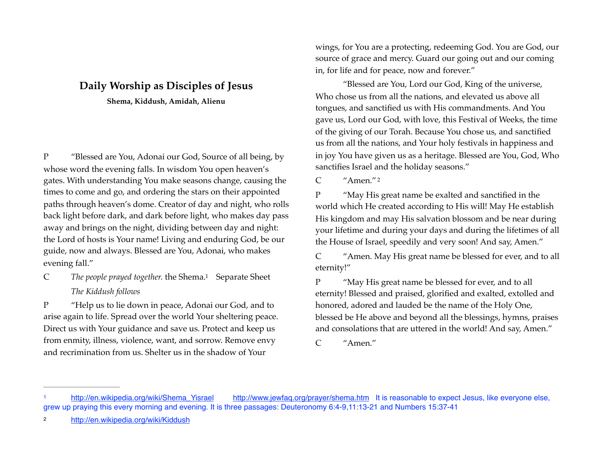## **Daily Worship as Disciples of Jesus**

**Shema, Kiddush, Amidah, Alienu** 

P "Blessed are You, Adonai our God, Source of all being, by whose word the evening falls. In wisdom You open heaven's gates. With understanding You make seasons change, causing the times to come and go, and ordering the stars on their appointed paths through heaven's dome. Creator of day and night, who rolls back light before dark, and dark before light, who makes day pass away and brings on the night, dividing between day and night: the Lord of hosts is Your name! Living and enduring God, be our guide, now and always. Blessed are You, Adonai, who makes evening fall."

C The people prayed together[.](#page-0-0) the Shema.<sup>[1](#page-0-0)</sup> Separate Sheet *The Kiddush follows* 

P "Help us to lie down in peace, Adonai our God, and to arise again to life. Spread over the world Your sheltering peace. Direct us with Your guidance and save us. Protect and keep us from enmity, illness, violence, want, and sorrow. Remove envy and recrimination from us. Shelter us in the shadow of Your

wings, for You are a protecting, redeeming God. You are God, our source of grace and mercy. Guard our going out and our coming in, for life and for peace, now and forever."

"Blessed are You, Lord our God, King of the universe, Who chose us from all the nations, and elevated us above all tongues, and sanctified us with His commandments. And You gave us, Lord our God, with love, this Festival of Weeks, the time of the giving of our Torah. Because You chose us, and sanctified us from all the nations, and Your holy festivals in happiness and in joy You have given us as a heritage. Blessed are You, God, Who sanctifies Israel and the holiday seasons."

<span id="page-0-3"></span>C "Amen." [2](#page-0-1)

P "May His great name be exalted and sanctified in the world which He created according to His will! May He establish His kingdom and may His salvation blossom and be near during your lifetime and during your days and during the lifetimes of all the House of Israel, speedily and very soon! And say, Amen."

C "Amen. May His great name be blessed for ever, and to all eternity!"

<span id="page-0-2"></span>P "May His great name be blessed for ever, and to all eternity! Blessed and praised, glorified and exalted, extolled and honored, adored and lauded be the name of the Holy One, blessed be He above and beyond all the blessings, hymns, praises and consolations that are uttered in the world! And say, Amen."

C "Amen."

<span id="page-0-0"></span>[http://en.wikipedia.org/wiki/Shema\\_Yisrael](http://en.wikipedia.org/wiki/Shema_Yisrael) <http://www.jewfaq.org/prayer/shema.htm> It is reasonable to expect Jesus, like everyone else, grew up praying this every morning and evening. It is three passages: Deuteronomy 6:4-9,11:13-21 and Numbers 15:37-41

<span id="page-0-1"></span><http://en.wikipedia.org/wiki/Kiddush> [2](#page-0-3)